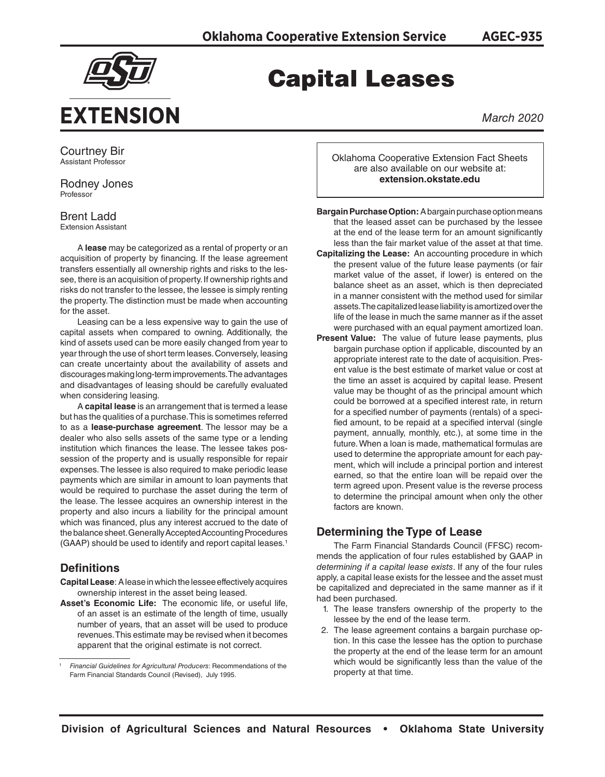

# Capital Leases

*March 2020*

Courtney Bir Assistant Professor

Rodney Jones Professor

Brent Ladd Extension Assistant

A **lease** may be categorized as a rental of property or an acquisition of property by financing. If the lease agreement transfers essentially all ownership rights and risks to the lessee, there is an acquisition of property. If ownership rights and risks do not transfer to the lessee, the lessee is simply renting the property. The distinction must be made when accounting for the asset.

Leasing can be a less expensive way to gain the use of capital assets when compared to owning. Additionally, the kind of assets used can be more easily changed from year to year through the use of short term leases. Conversely, leasing can create uncertainty about the availability of assets and discourages making long-term improvements. The advantages and disadvantages of leasing should be carefully evaluated when considering leasing.

A **capital lease** is an arrangement that is termed a lease but has the qualities of a purchase. This is sometimes referred to as a **lease-purchase agreement**. The lessor may be a dealer who also sells assets of the same type or a lending institution which finances the lease. The lessee takes possession of the property and is usually responsible for repair expenses. The lessee is also required to make periodic lease payments which are similar in amount to loan payments that would be required to purchase the asset during the term of the lease. The lessee acquires an ownership interest in the property and also incurs a liability for the principal amount which was financed, plus any interest accrued to the date of the balance sheet. Generally Accepted Accounting Procedures (GAAP) should be used to identify and report capital leases.1

## **Definitions**

- **Capital Lease**: A lease in which the lessee effectively acquires ownership interest in the asset being leased.
- **Asset's Economic Life:** The economic life, or useful life, of an asset is an estimate of the length of time, usually number of years, that an asset will be used to produce revenues. This estimate may be revised when it becomes apparent that the original estimate is not correct.

Oklahoma Cooperative Extension Fact Sheets are also available on our website at: **extension.okstate.edu**

**Bargain Purchase Option:** A bargain purchase option means that the leased asset can be purchased by the lessee at the end of the lease term for an amount significantly less than the fair market value of the asset at that time.

- **Capitalizing the Lease:** An accounting procedure in which the present value of the future lease payments (or fair market value of the asset, if lower) is entered on the balance sheet as an asset, which is then depreciated in a manner consistent with the method used for similar assets. The capitalized lease liability is amortized over the life of the lease in much the same manner as if the asset were purchased with an equal payment amortized loan.
- **Present Value:** The value of future lease payments, plus bargain purchase option if applicable, discounted by an appropriate interest rate to the date of acquisition. Present value is the best estimate of market value or cost at the time an asset is acquired by capital lease. Present value may be thought of as the principal amount which could be borrowed at a specified interest rate, in return for a specified number of payments (rentals) of a specified amount, to be repaid at a specified interval (single payment, annually, monthly, etc.), at some time in the future. When a loan is made, mathematical formulas are used to determine the appropriate amount for each payment, which will include a principal portion and interest earned, so that the entire loan will be repaid over the term agreed upon. Present value is the reverse process to determine the principal amount when only the other factors are known.

### **Determining the Type of Lease**

The Farm Financial Standards Council (FFSC) recommends the application of four rules established by GAAP in *determining if a capital lease exists*. If any of the four rules apply, a capital lease exists for the lessee and the asset must be capitalized and depreciated in the same manner as if it had been purchased.

- 1. The lease transfers ownership of the property to the lessee by the end of the lease term.
- 2. The lease agreement contains a bargain purchase option. In this case the lessee has the option to purchase the property at the end of the lease term for an amount which would be significantly less than the value of the property at that time.

**AGEC-935**

<sup>1</sup>*Financial Guidelines for Agricultural Producers*: Recommendations of the Farm Financial Standards Council (Revised), July 1995.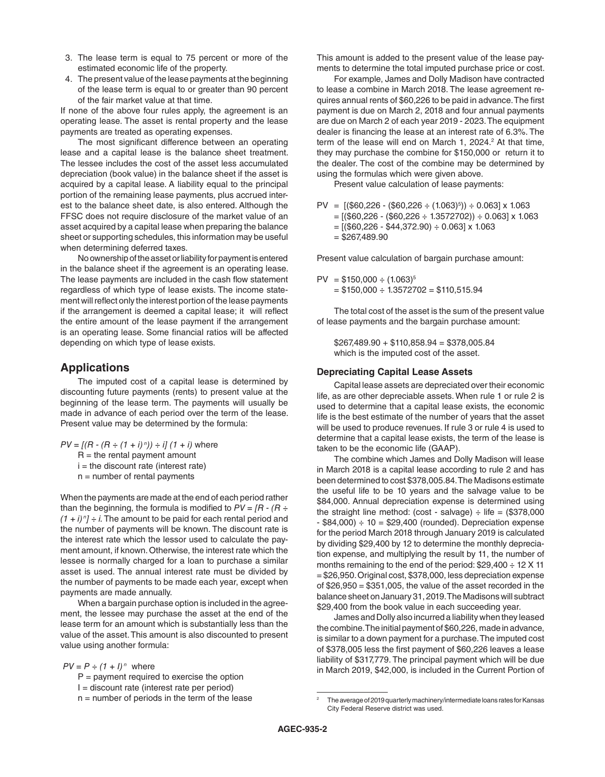- 3. The lease term is equal to 75 percent or more of the estimated economic life of the property.
- 4. The present value of the lease payments at the beginning of the lease term is equal to or greater than 90 percent of the fair market value at that time.

If none of the above four rules apply, the agreement is an operating lease. The asset is rental property and the lease payments are treated as operating expenses.

The most significant difference between an operating lease and a capital lease is the balance sheet treatment. The lessee includes the cost of the asset less accumulated depreciation (book value) in the balance sheet if the asset is acquired by a capital lease. A liability equal to the principal portion of the remaining lease payments, plus accrued interest to the balance sheet date, is also entered. Although the FFSC does not require disclosure of the market value of an asset acquired by a capital lease when preparing the balance sheet or supporting schedules, this information may be useful when determining deferred taxes.

No ownership of the asset or liability for payment is entered in the balance sheet if the agreement is an operating lease. The lease payments are included in the cash flow statement regardless of which type of lease exists. The income statement will reflect only the interest portion of the lease payments if the arrangement is deemed a capital lease; it will reflect the entire amount of the lease payment if the arrangement is an operating lease. Some financial ratios will be affected depending on which type of lease exists.

#### **Applications**

The imputed cost of a capital lease is determined by discounting future payments (rents) to present value at the beginning of the lease term. The payments will usually be made in advance of each period over the term of the lease. Present value may be determined by the formula:

 $PV = [(R - (R \div (1 + i)^n)) \div i] (1 + i)$  where  $R =$  the rental payment amount  $i =$  the discount rate (interest rate)  $n =$  number of rental payments

When the payments are made at the end of each period rather than the beginning, the formula is modified to *PV = [R - (R ÷*   $(1 + i)^n$  ÷ *i*. The amount to be paid for each rental period and the number of payments will be known. The discount rate is the interest rate which the lessor used to calculate the payment amount, if known. Otherwise, the interest rate which the lessee is normally charged for a loan to purchase a similar asset is used. The annual interest rate must be divided by the number of payments to be made each year, except when payments are made annually.

When a bargain purchase option is included in the agreement, the lessee may purchase the asset at the end of the lease term for an amount which is substantially less than the value of the asset. This amount is also discounted to present value using another formula:

 $PV = P \div (1 + l)^n$  where

- $P =$  payment required to exercise the option
- I = discount rate (interest rate per period)
- $n =$  number of periods in the term of the lease

This amount is added to the present value of the lease payments to determine the total imputed purchase price or cost.

For example, James and Dolly Madison have contracted to lease a combine in March 2018. The lease agreement requires annual rents of \$60,226 to be paid in advance. The first payment is due on March 2, 2018 and four annual payments are due on March 2 of each year 2019 - 2023. The equipment dealer is financing the lease at an interest rate of 6.3%. The term of the lease will end on March 1, 2024.<sup>2</sup> At that time, they may purchase the combine for \$150,000 or return it to the dealer. The cost of the combine may be determined by using the formulas which were given above.

Present value calculation of lease payments:

$$
PV = [(\$60,226 \div (\$60,226 \div (1.063)^5)) \div 0.063] \times 1.063
$$
  
= [(\\$60,226 \div (\\$60,226 \div 1.3572702)) \div 0.063] \times 1.063  
= [(\\$60,226 \div \\$44,372.90) \div 0.063] \times 1.063  
= \\$267,489.90

Present value calculation of bargain purchase amount:

$$
PV = $150,000 \div (1.063)^{5}
$$
  
= \$150,000 \div 1.3572702 = \$110,515.94

The total cost of the asset is the sum of the present value of lease payments and the bargain purchase amount:

\$267,489.90 + \$110,858.94 = \$378,005.84 which is the imputed cost of the asset.

#### **Depreciating Capital Lease Assets**

Capital lease assets are depreciated over their economic life, as are other depreciable assets. When rule 1 or rule 2 is used to determine that a capital lease exists, the economic life is the best estimate of the number of years that the asset will be used to produce revenues. If rule 3 or rule 4 is used to determine that a capital lease exists, the term of the lease is taken to be the economic life (GAAP).

The combine which James and Dolly Madison will lease in March 2018 is a capital lease according to rule 2 and has been determined to cost \$378,005.84. The Madisons estimate the useful life to be 10 years and the salvage value to be \$84,000. Annual depreciation expense is determined using the straight line method: (cost - salvage)  $\div$  life = (\$378,000  $-$  \$84,000)  $\div$  10 = \$29,400 (rounded). Depreciation expense for the period March 2018 through January 2019 is calculated by dividing \$29,400 by 12 to determine the monthly depreciation expense, and multiplying the result by 11, the number of months remaining to the end of the period:  $$29,400 \div 12 \times 11$ = \$26,950. Original cost, \$378,000, less depreciation expense of \$26,950 = \$351,005, the value of the asset recorded in the balance sheet on January 31, 2019. The Madisons will subtract \$29,400 from the book value in each succeeding year.

James and Dolly also incurred a liability when they leased the combine. The initial payment of \$60,226, made in advance, is similar to a down payment for a purchase. The imputed cost of \$378,005 less the first payment of \$60,226 leaves a lease liability of \$317,779. The principal payment which will be due in March 2019, \$42,000, is included in the Current Portion of

<sup>2</sup> The average of 2019 quarterly machinery/intermediate loans rates for Kansas City Federal Reserve district was used.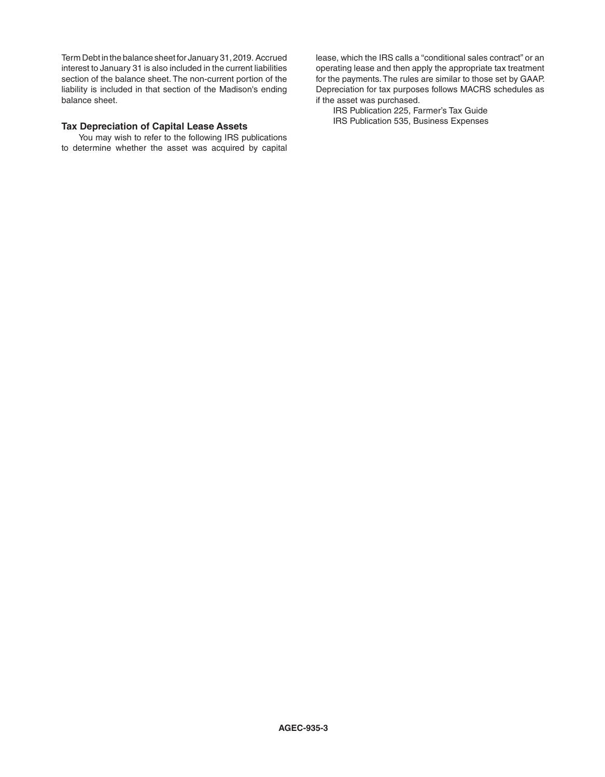Term Debt in the balance sheet for January 31, 2019. Accrued interest to January 31 is also included in the current liabilities section of the balance sheet. The non-current portion of the liability is included in that section of the Madison's ending balance sheet.

#### **Tax Depreciation of Capital Lease Assets**

You may wish to refer to the following IRS publications to determine whether the asset was acquired by capital

lease, which the IRS calls a "conditional sales contract" or an operating lease and then apply the appropriate tax treatment for the payments. The rules are similar to those set by GAAP. Depreciation for tax purposes follows MACRS schedules as if the asset was purchased.

IRS Publication 225, Farmer's Tax Guide IRS Publication 535, Business Expenses